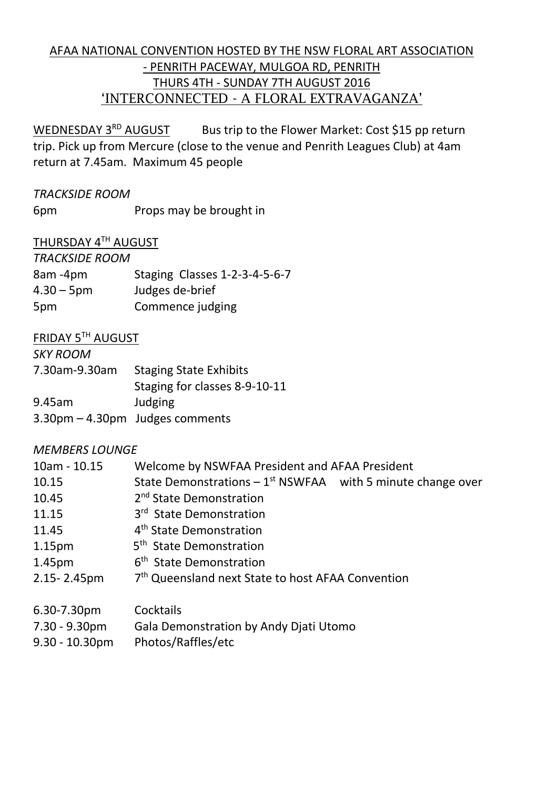## AFAA NATIONAL CONVENTION HOSTED BY THE NSW FLORAL ART ASSOCIATION - PENRITH PACEWAY, MULGOA RD, PENRITH THURS 4TH - SUNDAY 7TH AUGUST 2016 'INTERCONNECTED - A FLORAL EXTRAVAGANZA'

WEDNESDAY 3<sup>RD</sup> AUGUST Bus trip to the Flower Market: Cost \$15 pp return trip. Pick up from Mercure (close to the venue and Penrith Leagues Club) at 4am return at 7.45am. Maximum 45 people

### *TRACKSIDE ROOM*

6pm Props may be brought in

## THURSDAY 4TH AUGUST

| <b>TRACKSIDE ROOM</b> |                               |
|-----------------------|-------------------------------|
| 8am -4pm              | Staging Classes 1-2-3-4-5-6-7 |
| $4.30 - 5 \text{pm}$  | Judges de-brief               |
| 5pm                   | Commence judging              |

### **FRIDAY 5TH AUGUST**

| <b>SKY ROOM</b> |                                 |
|-----------------|---------------------------------|
| 7.30am-9.30am   | <b>Staging State Exhibits</b>   |
|                 | Staging for classes 8-9-10-11   |
| 9.45am          | <b>Judging</b>                  |
|                 | 3.30pm - 4.30pm Judges comments |

### *MEMBERS LOUNGE*

| $10am - 10.15$              | Welcome by NSWFAA President and AFAA President                  |  |
|-----------------------------|-----------------------------------------------------------------|--|
| 10.15                       | State Demonstrations $-1^{st}$ NSWFAA with 5 minute change over |  |
| 10.45                       | 2 <sup>nd</sup> State Demonstration                             |  |
| 11.15                       | 3 <sup>rd</sup> State Demonstration                             |  |
| 11.45                       | 4 <sup>th</sup> State Demonstration                             |  |
| 1.15 <sub>pm</sub>          | 5 <sup>th</sup> State Demonstration                             |  |
| 1.45pm                      | 6 <sup>th</sup> State Demonstration                             |  |
| 2.15-2.45pm                 | 7 <sup>th</sup> Queensland next State to host AFAA Convention   |  |
| $\sim$ $\sim$ $\sim$ $\sim$ |                                                                 |  |

- 6.30-7.30pm Cocktails
- 7.30 9.30pm Gala Demonstration by Andy Djati Utomo
- 9.30 10.30pm Photos/Raffles/etc